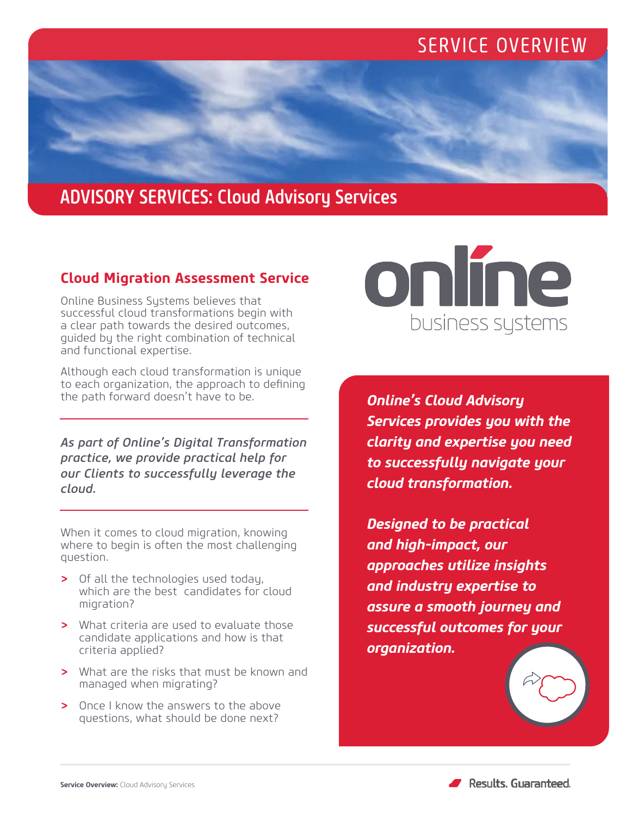## SERVICE OVERVIEW

## ADVISORY SERVICES: Cloud Advisory Services

## **Cloud Migration Assessment Service**

Online Business Systems believes that successful cloud transformations begin with a clear path towards the desired outcomes, guided by the right combination of technical and functional expertise.

Although each cloud transformation is unique to each organization, the approach to defining the path forward doesn't have to be.

*As part of Online's Digital Transformation practice, we provide practical help for our Clients to successfully leverage the cloud.*

When it comes to cloud migration, knowing where to begin is often the most challenging question.

- *>* Of all the technologies used today, which are the best candidates for cloud migration?
- *>* What criteria are used to evaluate those candidate applications and how is that criteria applied?
- *>* What are the risks that must be known and managed when migrating?
- *>* Once I know the answers to the above questions, what should be done next?



*Online's Cloud Advisory Services provides you with the clarity and expertise you need to successfully navigate your cloud transformation.* 

*Designed to be practical and high-impact, our approaches utilize insights and industry expertise to assure a smooth journey and successful outcomes for your organization.*



Results, Guaranteed,